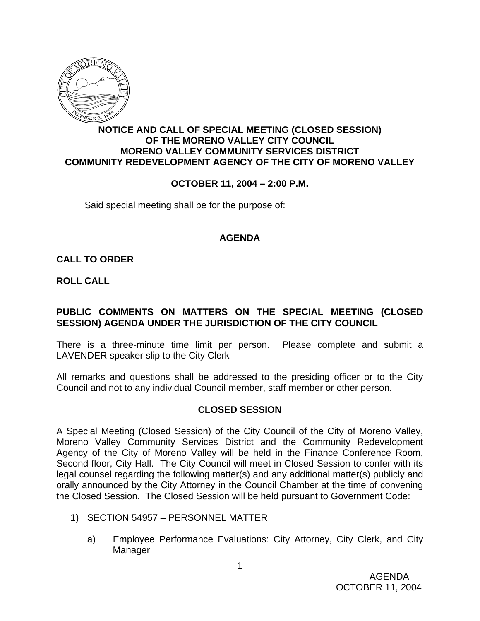

# **NOTICE AND CALL OF SPECIAL MEETING (CLOSED SESSION) OF THE MORENO VALLEY CITY COUNCIL MORENO VALLEY COMMUNITY SERVICES DISTRICT COMMUNITY REDEVELOPMENT AGENCY OF THE CITY OF MORENO VALLEY**

## **OCTOBER 11, 2004 – 2:00 P.M.**

Said special meeting shall be for the purpose of:

#### **AGENDA**

## **CALL TO ORDER**

**ROLL CALL**

# **PUBLIC COMMENTS ON MATTERS ON THE SPECIAL MEETING (CLOSED SESSION) AGENDA UNDER THE JURISDICTION OF THE CITY COUNCIL**

There is a three-minute time limit per person. Please complete and submit a LAVENDER speaker slip to the City Clerk

All remarks and questions shall be addressed to the presiding officer or to the City Council and not to any individual Council member, staff member or other person.

## **CLOSED SESSION**

A Special Meeting (Closed Session) of the City Council of the City of Moreno Valley, Moreno Valley Community Services District and the Community Redevelopment Agency of the City of Moreno Valley will be held in the Finance Conference Room, Second floor, City Hall. The City Council will meet in Closed Session to confer with its legal counsel regarding the following matter(s) and any additional matter(s) publicly and orally announced by the City Attorney in the Council Chamber at the time of convening the Closed Session. The Closed Session will be held pursuant to Government Code:

- 1) SECTION 54957 PERSONNEL MATTER
	- a) Employee Performance Evaluations: City Attorney, City Clerk, and City Manager